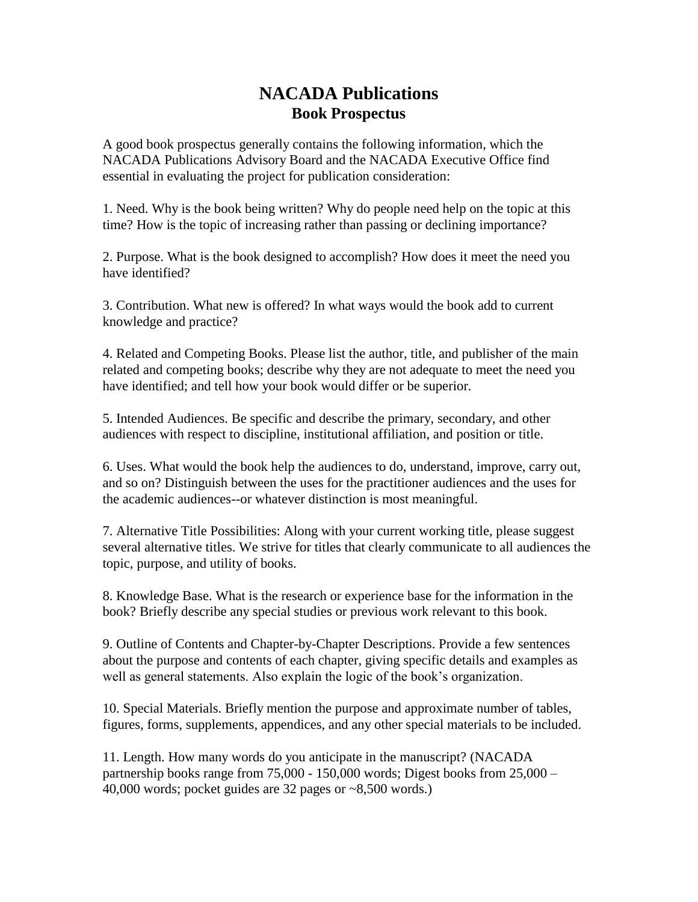## **NACADA Publications Book Prospectus**

A good book prospectus generally contains the following information, which the NACADA Publications Advisory Board and the NACADA Executive Office find essential in evaluating the project for publication consideration:

1. Need. Why is the book being written? Why do people need help on the topic at this time? How is the topic of increasing rather than passing or declining importance?

2. Purpose. What is the book designed to accomplish? How does it meet the need you have identified?

3. Contribution. What new is offered? In what ways would the book add to current knowledge and practice?

4. Related and Competing Books. Please list the author, title, and publisher of the main related and competing books; describe why they are not adequate to meet the need you have identified; and tell how your book would differ or be superior.

5. Intended Audiences. Be specific and describe the primary, secondary, and other audiences with respect to discipline, institutional affiliation, and position or title.

6. Uses. What would the book help the audiences to do, understand, improve, carry out, and so on? Distinguish between the uses for the practitioner audiences and the uses for the academic audiences--or whatever distinction is most meaningful.

7. Alternative Title Possibilities: Along with your current working title, please suggest several alternative titles. We strive for titles that clearly communicate to all audiences the topic, purpose, and utility of books.

8. Knowledge Base. What is the research or experience base for the information in the book? Briefly describe any special studies or previous work relevant to this book.

9. Outline of Contents and Chapter-by-Chapter Descriptions. Provide a few sentences about the purpose and contents of each chapter, giving specific details and examples as well as general statements. Also explain the logic of the book's organization.

10. Special Materials. Briefly mention the purpose and approximate number of tables, figures, forms, supplements, appendices, and any other special materials to be included.

11. Length. How many words do you anticipate in the manuscript? (NACADA partnership books range from  $75,000 - 150,000$  words; Digest books from  $25,000 -$ 40,000 words; pocket guides are 32 pages or ~8,500 words.)